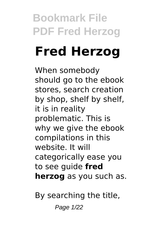# **Fred Herzog**

When somebody should go to the ebook stores, search creation by shop, shelf by shelf, it is in reality problematic. This is why we give the ebook compilations in this website. It will categorically ease you to see guide **fred herzog** as you such as.

By searching the title,

Page 1/22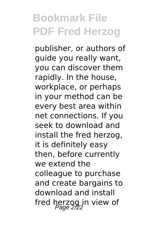publisher, or authors of guide you really want, you can discover them rapidly. In the house, workplace, or perhaps in your method can be every best area within net connections. If you seek to download and install the fred herzog, it is definitely easy then, before currently we extend the colleague to purchase and create bargains to download and install fred herzog in view of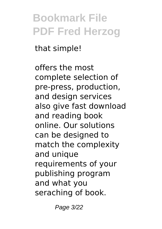that simple!

offers the most complete selection of pre-press, production, and design services also give fast download and reading book online. Our solutions can be designed to match the complexity and unique requirements of your publishing program and what you seraching of book.

Page 3/22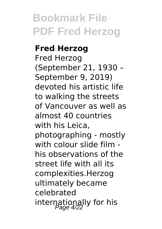#### **Fred Herzog**

Fred Herzog (September 21, 1930 – September 9, 2019) devoted his artistic life to walking the streets of Vancouver as well as almost 40 countries with his Leica, photographing - mostly with colour slide film his observations of the street life with all its complexities.Herzog ultimately became celebrated internationally for his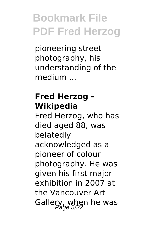pioneering street photography, his understanding of the medium ...

#### **Fred Herzog - Wikipedia**

Fred Herzog, who has died aged 88, was belatedly acknowledged as a pioneer of colour photography. He was given his first major exhibition in 2007 at the Vancouver Art Gallery, when he was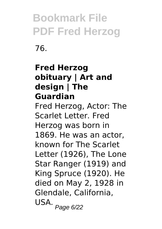76.

#### **Fred Herzog obituary | Art and design | The Guardian**

Fred Herzog, Actor: The Scarlet Letter. Fred Herzog was born in 1869. He was an actor, known for The Scarlet Letter (1926), The Lone Star Ranger (1919) and King Spruce (1920). He died on May 2, 1928 in Glendale, California, USA. <sub>Page 6/22</sub>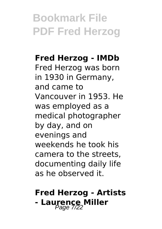#### **Fred Herzog - IMDb**

Fred Herzog was born in 1930 in Germany, and came to Vancouver in 1953. He was employed as a medical photographer by day, and on evenings and weekends he took his camera to the streets, documenting daily life as he observed it.

### **Fred Herzog - Artists - Laurence Miller**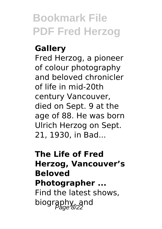#### **Gallery**

Fred Herzog, a pioneer of colour photography and beloved chronicler of life in mid-20th century Vancouver, died on Sept. 9 at the age of 88. He was born Ulrich Herzog on Sept. 21, 1930, in Bad...

#### **The Life of Fred Herzog, Vancouver's Beloved Photographer ...** Find the latest shows, biography, and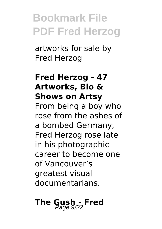artworks for sale by Fred Herzog

#### **Fred Herzog - 47 Artworks, Bio & Shows on Artsy** From being a boy who rose from the ashes of a bombed Germany, Fred Herzog rose late in his photographic career to become one of Vancouver's greatest visual documentarians.

# **The Gush - Fred**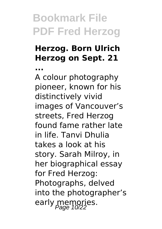#### **Herzog. Born Ulrich Herzog on Sept. 21**

**...**

A colour photography pioneer, known for his distinctively vivid images of Vancouver's streets, Fred Herzog found fame rather late in life. Tanvi Dhulia takes a look at his story. Sarah Milroy, in her biographical essay for Fred Herzog: Photographs, delved into the photographer's early memories.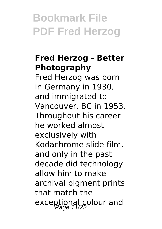#### **Fred Herzog - Better Photography**

Fred Herzog was born in Germany in 1930, and immigrated to Vancouver, BC in 1953. Throughout his career he worked almost exclusively with Kodachrome slide film, and only in the past decade did technology allow him to make archival pigment prints that match the exceptional colour and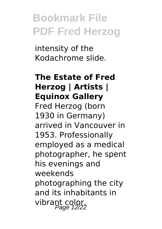intensity of the Kodachrome slide.

#### **The Estate of Fred Herzog | Artists | Equinox Gallery**

Fred Herzog (born 1930 in Germany) arrived in Vancouver in 1953. Professionally employed as a medical photographer, he spent his evenings and weekends photographing the city and its inhabitants in vibrant color.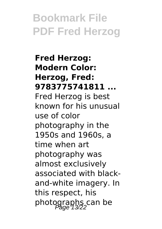**Fred Herzog: Modern Color: Herzog, Fred: 9783775741811 ...** Fred Herzog is best known for his unusual use of color photography in the 1950s and 1960s, a time when art photography was almost exclusively associated with blackand-white imagery. In this respect, his photographs can be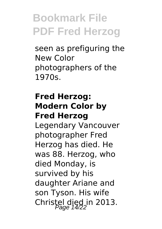seen as prefiguring the New Color photographers of the 1970s.

#### **Fred Herzog: Modern Color by Fred Herzog**

Legendary Vancouver photographer Fred Herzog has died. He was 88. Herzog, who died Monday, is survived by his daughter Ariane and son Tyson. His wife Christel died in 2013.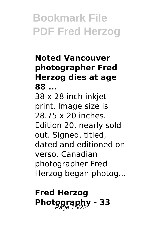#### **Noted Vancouver photographer Fred Herzog dies at age 88 ...** 38 x 28 inch inkjet print. Image size is 28.75 x 20 inches. Edition 20, nearly sold out. Signed, titled, dated and editioned on verso. Canadian photographer Fred Herzog began photog...

#### **Fred Herzog Photography - 33**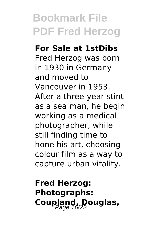# **For Sale at 1stDibs**

Fred Herzog was born in 1930 in Germany and moved to Vancouver in 1953. After a three-year stint as a sea man, he begin working as a medical photographer, while still finding time to hone his art, choosing colour film as a way to capture urban vitality.

**Fred Herzog: Photographs:** Coupland, Douglas,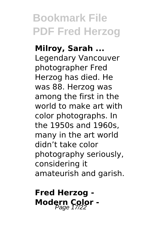**Milroy, Sarah ...** Legendary Vancouver photographer Fred Herzog has died. He was 88. Herzog was among the first in the world to make art with color photographs. In the 1950s and 1960s, many in the art world didn't take color photography seriously, considering it amateurish and garish.

**Fred Herzog - Modern Color -**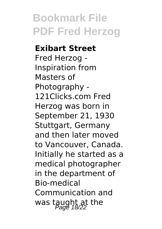#### **Exibart Street**

Fred Herzog - Inspiration from Masters of Photography - 121Clicks.com Fred Herzog was born in September 21, 1930 Stuttgart, Germany and then later moved to Vancouver, Canada. Initially he started as a medical photographer in the department of Bio-medical Communication and was taught at the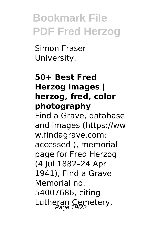Simon Fraser University.

#### **50+ Best Fred Herzog images | herzog, fred, color photography**

Find a Grave, database and images (https://ww w.findagrave.com: accessed ), memorial page for Fred Herzog (4 Jul 1882–24 Apr 1941), Find a Grave Memorial no. 54007686, citing Lutheran Cemetery,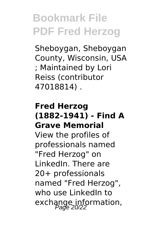Sheboygan, Sheboygan County, Wisconsin, USA ; Maintained by Lori Reiss (contributor 47018814) .

#### **Fred Herzog (1882-1941) - Find A Grave Memorial**

View the profiles of professionals named "Fred Herzog" on LinkedIn. There are 20+ professionals named "Fred Herzog", who use LinkedIn to exchange information,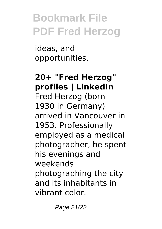ideas, and opportunities.

#### **20+ "Fred Herzog" profiles | LinkedIn** Fred Herzog (born 1930 in Germany) arrived in Vancouver in 1953. Professionally employed as a medical photographer, he spent his evenings and weekends photographing the city and its inhabitants in vibrant color.

Page 21/22